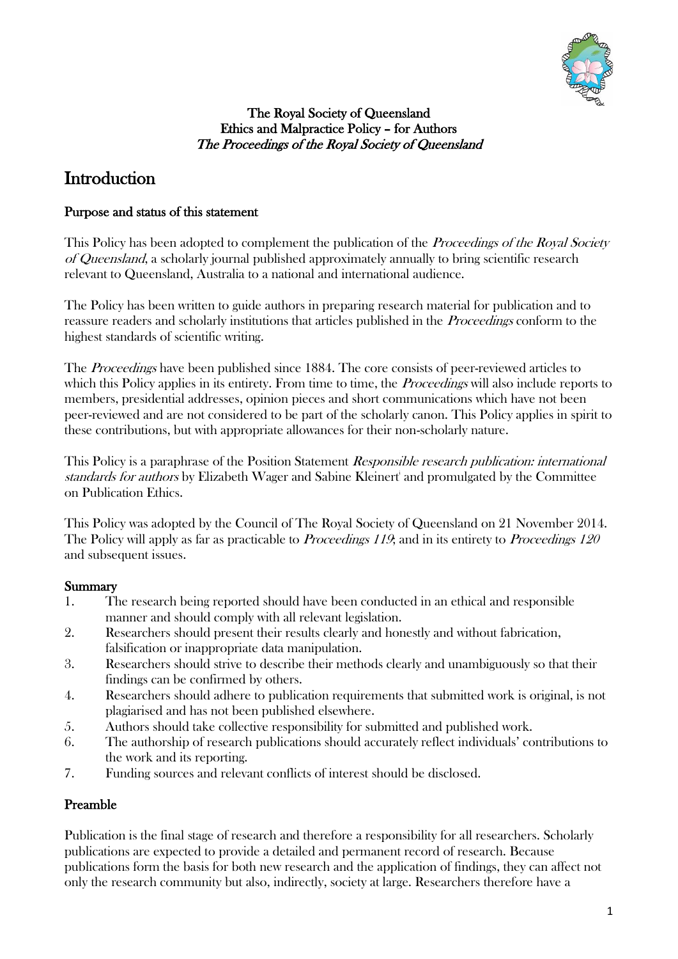

#### The Royal Society of Queensland Ethics and Malpractice Policy – for Authors The Proceedings of the Royal Society of Queensland

# **Introduction**

### Purpose and status of this statement

This Policy has been adopted to complement the publication of the *Proceedings of the Royal Society* of Queensland, a scholarly journal published approximately annually to bring scientific research relevant to Queensland, Australia to a national and international audience.

The Policy has been written to guide authors in preparing research material for publication and to reassure readers and scholarly institutions that articles published in the Proceedings conform to the highest standards of scientific writing.

The *Proceedings* have been published since 1884. The core consists of peer-reviewed articles to which this Policy applies in its entirety. From time to time, the *Proceedings* will also include reports to members, presidential addresses, opinion pieces and short communications which have not been peer-reviewed and are not considered to be part of the scholarly canon. This Policy applies in spirit to these contributions, but with appropriate allowances for their non-scholarly nature.

This Policy is a paraphrase of the Position Statement Responsible research publication: international standards for authors by Elizabeth Wager and Sabine Kleinert<sup>i</sup> and promulgated by the Committee on Publication Ethics.

This Policy was adopted by the Council of The Royal Society of Queensland on 21 November 2014. The Policy will apply as far as practicable to *Proceedings 119*; and in its entirety to *Proceedings 120* and subsequent issues.

## Summary

- 1. The research being reported should have been conducted in an ethical and responsible manner and should comply with all relevant legislation.
- 2. Researchers should present their results clearly and honestly and without fabrication, falsification or inappropriate data manipulation.
- 3. Researchers should strive to describe their methods clearly and unambiguously so that their findings can be confirmed by others.
- 4. Researchers should adhere to publication requirements that submitted work is original, is not plagiarised and has not been published elsewhere.
- 5. Authors should take collective responsibility for submitted and published work.
- 6. The authorship of research publications should accurately reflect individuals' contributions to the work and its reporting.
- 7. Funding sources and relevant conflicts of interest should be disclosed.

## Preamble

Publication is the final stage of research and therefore a responsibility for all researchers. Scholarly publications are expected to provide a detailed and permanent record of research. Because publications form the basis for both new research and the application of findings, they can affect not only the research community but also, indirectly, society at large. Researchers therefore have a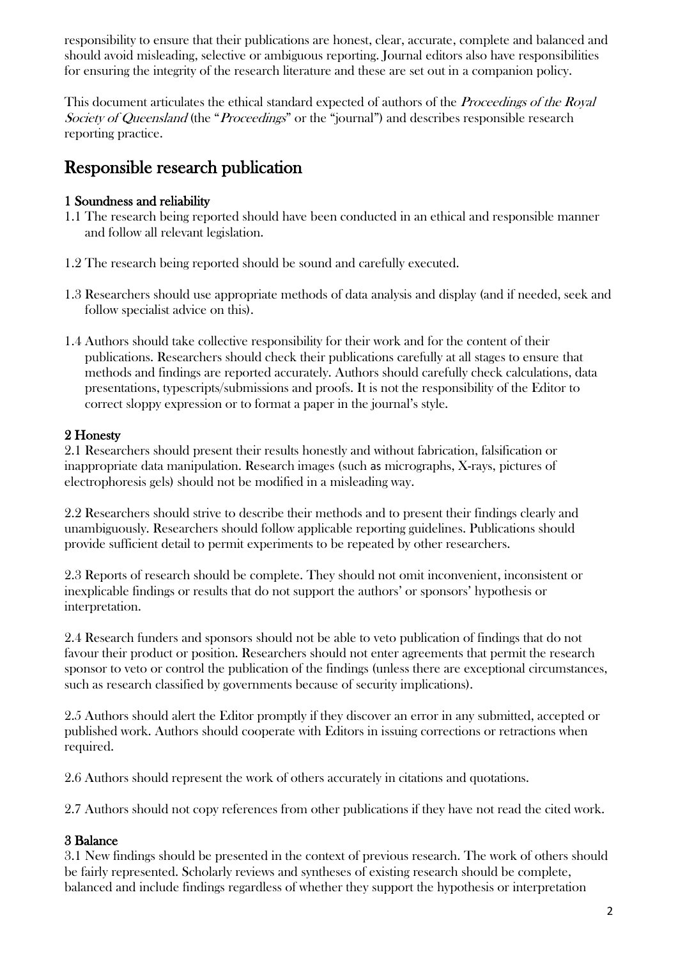responsibility to ensure that their publications are honest, clear, accurate, complete and balanced and should avoid misleading, selective or ambiguous reporting. Journal editors also have responsibilities for ensuring the integrity of the research literature and these are set out in a companion policy.

This document articulates the ethical standard expected of authors of the *Proceedings of the Royal* Society of Queensland (the "Proceedings" or the "journal") and describes responsible research reporting practice.

## Responsible research publication

### 1 Soundness and reliability

- 1.1 The research being reported should have been conducted in an ethical and responsible manner and follow all relevant legislation.
- 1.2 The research being reported should be sound and carefully executed.
- 1.3 Researchers should use appropriate methods of data analysis and display (and if needed, seek and follow specialist advice on this).
- 1.4 Authors should take collective responsibility for their work and for the content of their publications. Researchers should check their publications carefully at all stages to ensure that methods and findings are reported accurately. Authors should carefully check calculations, data presentations, typescripts/submissions and proofs. It is not the responsibility of the Editor to correct sloppy expression or to format a paper in the journal's style.

### 2 Honesty

2.1 Researchers should present their results honestly and without fabrication, falsification or inappropriate data manipulation. Research images (such as micrographs, X-rays, pictures of electrophoresis gels) should not be modified in a misleading way.

2.2 Researchers should strive to describe their methods and to present their findings clearly and unambiguously. Researchers should follow applicable reporting guidelines. Publications should provide sufficient detail to permit experiments to be repeated by other researchers.

2.3 Reports of research should be complete. They should not omit inconvenient, inconsistent or inexplicable findings or results that do not support the authors' or sponsors' hypothesis or interpretation.

2.4 Research funders and sponsors should not be able to veto publication of findings that do not favour their product or position. Researchers should not enter agreements that permit the research sponsor to veto or control the publication of the findings (unless there are exceptional circumstances, such as research classified by governments because of security implications).

2.5 Authors should alert the Editor promptly if they discover an error in any submitted, accepted or published work. Authors should cooperate with Editors in issuing corrections or retractions when required.

2.6 Authors should represent the work of others accurately in citations and quotations.

2.7 Authors should not copy references from other publications if they have not read the cited work.

### 3 Balance

3.1 New findings should be presented in the context of previous research. The work of others should be fairly represented. Scholarly reviews and syntheses of existing research should be complete, balanced and include findings regardless of whether they support the hypothesis or interpretation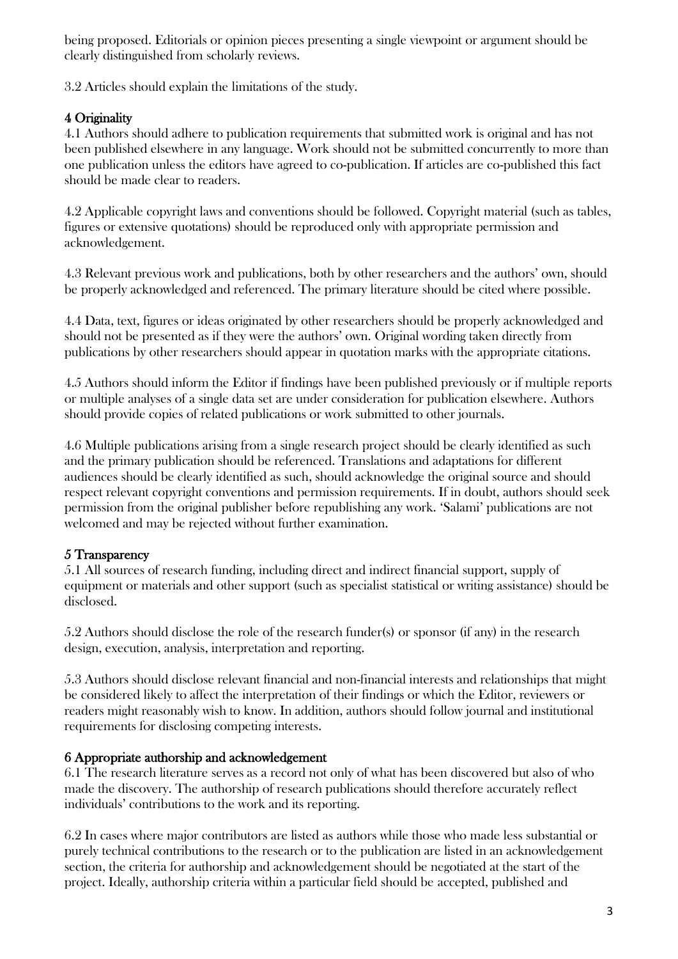being proposed. Editorials or opinion pieces presenting a single viewpoint or argument should be clearly distinguished from scholarly reviews.

3.2 Articles should explain the limitations of the study.

### 4 Originality

4.1 Authors should adhere to publication requirements that submitted work is original and has not been published elsewhere in any language. Work should not be submitted concurrently to more than one publication unless the editors have agreed to co-publication. If articles are co-published this fact should be made clear to readers.

4.2 Applicable copyright laws and conventions should be followed. Copyright material (such as tables, figures or extensive quotations) should be reproduced only with appropriate permission and acknowledgement.

4.3 Relevant previous work and publications, both by other researchers and the authors' own, should be properly acknowledged and referenced. The primary literature should be cited where possible.

4.4 Data, text, figures or ideas originated by other researchers should be properly acknowledged and should not be presented as if they were the authors' own. Original wording taken directly from publications by other researchers should appear in quotation marks with the appropriate citations.

4.5 Authors should inform the Editor if findings have been published previously or if multiple reports or multiple analyses of a single data set are under consideration for publication elsewhere. Authors should provide copies of related publications or work submitted to other journals.

4.6 Multiple publications arising from a single research project should be clearly identified as such and the primary publication should be referenced. Translations and adaptations for different audiences should be clearly identified as such, should acknowledge the original source and should respect relevant copyright conventions and permission requirements. If in doubt, authors should seek permission from the original publisher before republishing any work. 'Salami' publications are not welcomed and may be rejected without further examination.

### 5 Transparency

5.1 All sources of research funding, including direct and indirect financial support, supply of equipment or materials and other support (such as specialist statistical or writing assistance) should be disclosed.

5.2 Authors should disclose the role of the research funder(s) or sponsor (if any) in the research design, execution, analysis, interpretation and reporting.

5.3 Authors should disclose relevant financial and non-financial interests and relationships that might be considered likely to affect the interpretation of their findings or which the Editor, reviewers or readers might reasonably wish to know. In addition, authors should follow journal and institutional requirements for disclosing competing interests.

### 6 Appropriate authorship and acknowledgement

6.1 The research literature serves as a record not only of what has been discovered but also of who made the discovery. The authorship of research publications should therefore accurately reflect individuals' contributions to the work and its reporting.

6.2 In cases where major contributors are listed as authors while those who made less substantial or purely technical contributions to the research or to the publication are listed in an acknowledgement section, the criteria for authorship and acknowledgement should be negotiated at the start of the project. Ideally, authorship criteria within a particular field should be accepted, published and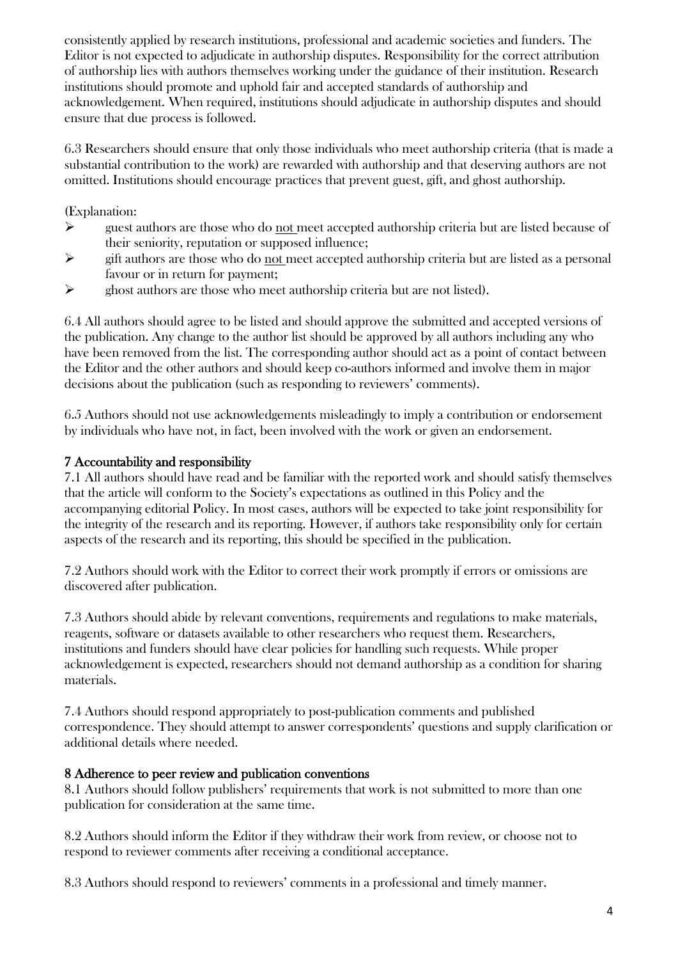consistently applied by research institutions, professional and academic societies and funders. The Editor is not expected to adjudicate in authorship disputes. Responsibility for the correct attribution of authorship lies with authors themselves working under the guidance of their institution. Research institutions should promote and uphold fair and accepted standards of authorship and acknowledgement. When required, institutions should adjudicate in authorship disputes and should ensure that due process is followed.

6.3 Researchers should ensure that only those individuals who meet authorship criteria (that is made a substantial contribution to the work) are rewarded with authorship and that deserving authors are not omitted. Institutions should encourage practices that prevent guest, gift, and ghost authorship.

(Explanation:

- $\triangleright$  guest authors are those who do not meet accepted authorship criteria but are listed because of their seniority, reputation or supposed influence;
- $\triangleright$  gift authors are those who do not meet accepted authorship criteria but are listed as a personal favour or in return for payment;
- $\triangleright$  ghost authors are those who meet authorship criteria but are not listed).

6.4 All authors should agree to be listed and should approve the submitted and accepted versions of the publication. Any change to the author list should be approved by all authors including any who have been removed from the list. The corresponding author should act as a point of contact between the Editor and the other authors and should keep co-authors informed and involve them in major decisions about the publication (such as responding to reviewers' comments).

6.5 Authors should not use acknowledgements misleadingly to imply a contribution or endorsement by individuals who have not, in fact, been involved with the work or given an endorsement.

#### 7 Accountability and responsibility

7.1 All authors should have read and be familiar with the reported work and should satisfy themselves that the article will conform to the Society's expectations as outlined in this Policy and the accompanying editorial Policy. In most cases, authors will be expected to take joint responsibility for the integrity of the research and its reporting. However, if authors take responsibility only for certain aspects of the research and its reporting, this should be specified in the publication.

7.2 Authors should work with the Editor to correct their work promptly if errors or omissions are discovered after publication.

7.3 Authors should abide by relevant conventions, requirements and regulations to make materials, reagents, software or datasets available to other researchers who request them. Researchers, institutions and funders should have clear policies for handling such requests. While proper acknowledgement is expected, researchers should not demand authorship as a condition for sharing materials.

7.4 Authors should respond appropriately to post-publication comments and published correspondence. They should attempt to answer correspondents' questions and supply clarification or additional details where needed.

#### 8 Adherence to peer review and publication conventions

8.1 Authors should follow publishers' requirements that work is not submitted to more than one publication for consideration at the same time.

8.2 Authors should inform the Editor if they withdraw their work from review, or choose not to respond to reviewer comments after receiving a conditional acceptance.

8.3 Authors should respond to reviewers' comments in a professional and timely manner.